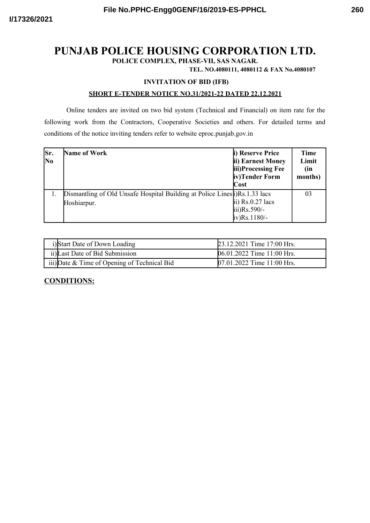# **PUNJAB POLICE HOUSING CORPORATION LTD.**

**POLICE COMPLEX, PHASE-VII, SAS NAGAR.**

**TEL. NO.4080111, 4080112 & FAX No.4080107**

#### **INVITATION OF BID (IFB)**

#### **SHORT E-TENDER NOTICE NO.31/2021-22 DATED 22.12.2021**

Online tenders are invited on two bid system (Technical and Financial) on item rate for the following work from the Contractors, Cooperative Societies and others. For detailed terms and conditions of the notice inviting tenders refer to website eproc.punjab.gov.in

| Sr.<br>N <sub>0</sub> | <b>Name of Work</b>                                                        | i) Reserve Price<br>ii) Earnest Money<br>iii)Processing Fee<br>iv)Tender Form<br>$\cos t$ | <b>Time</b><br>Limit<br>(in<br>months) |
|-----------------------|----------------------------------------------------------------------------|-------------------------------------------------------------------------------------------|----------------------------------------|
|                       | Dismantling of Old Unsafe Hospital Building at Police Lines<br>Hoshiarpur. | $\overline{ii}$ ) Rs.0.27 lacs<br>$\text{iii)}\text{Rs.}590/-$<br>$iv)$ Rs. 1180/-        | 03                                     |

| i)Start Date of Down Loading                 | 23.12.2021 Time 17:00 Hrs. |
|----------------------------------------------|----------------------------|
| ii) Last Date of Bid Submission              | 06.01.2022 Time 11:00 Hrs. |
| iii) Date & Time of Opening of Technical Bid | 07.01.2022 Time 11:00 Hrs. |

### **CONDITIONS:**